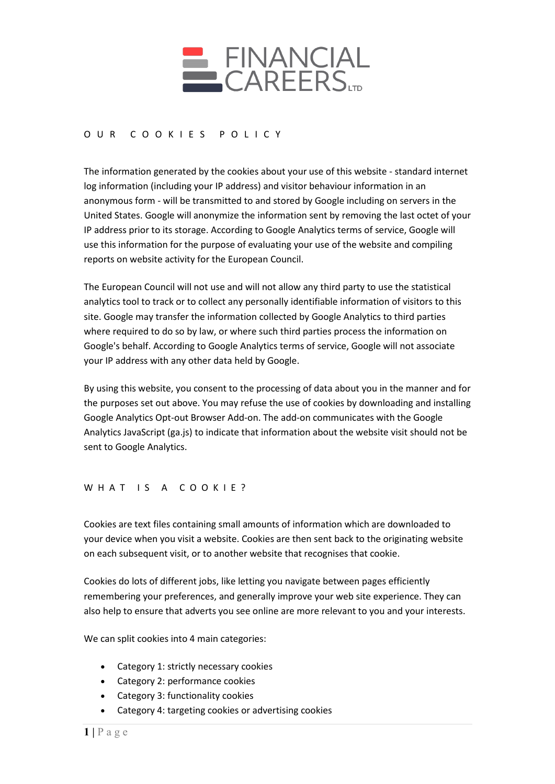

# O U R COOKIES POLICY

The information generated by the cookies about your use of this website - standard internet log information (including your IP address) and visitor behaviour information in an anonymous form - will be transmitted to and stored by Google including on servers in the United States. Google will anonymize the information sent by removing the last octet of your IP address prior to its storage. According to Google Analytics terms of service, Google will use this information for the purpose of evaluating your use of the website and compiling reports on website activity for the European Council.

The European Council will not use and will not allow any third party to use the statistical analytics tool to track or to collect any personally identifiable information of visitors to this site. Google may transfer the information collected by Google Analytics to third parties where required to do so by law, or where such third parties process the information on Google's behalf. According to Google Analytics terms of service, Google will not associate your IP address with any other data held by Google.

By using this website, you consent to the processing of data about you in the manner and for the purposes set out above. You may refuse the use of cookies by downloading and installing Google Analytics Opt-out Browser Add-on. The add-on communicates with the Google Analytics JavaScript (ga.js) to indicate that information about the website visit should not be sent to Google Analytics.

WHAT IS A COOKIE?

Cookies are text files containing small amounts of information which are downloaded to your device when you visit a website. Cookies are then sent back to the originating website on each subsequent visit, or to another website that recognises that cookie.

Cookies do lots of different jobs, like letting you navigate between pages efficiently remembering your preferences, and generally improve your web site experience. They can also help to ensure that adverts you see online are more relevant to you and your interests.

We can split cookies into 4 main categories:

- Category 1: strictly necessary cookies
- Category 2: performance cookies
- Category 3: functionality cookies
- Category 4: targeting cookies or advertising cookies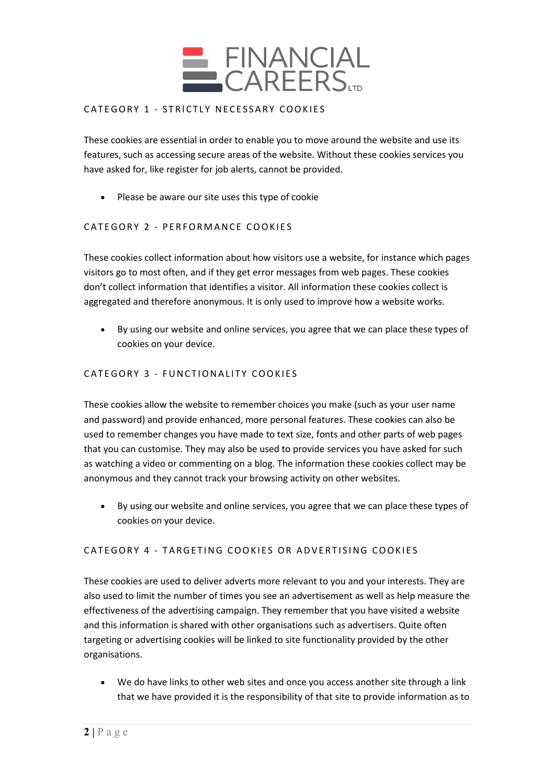

## CATEGORY 1 - STRICTLY NECESSARY COOKIES

These cookies are essential in order to enable you to move around the website and use its features, such as accessing secure areas of the website. Without these cookies services you have asked for, like register for job alerts, cannot be provided.

• Please be aware our site uses this type of cookie

# CATEGORY 2 - PERFORMANCE COOKIES

These cookies collect information about how visitors use a website, for instance which pages visitors go to most often, and if they get error messages from web pages. These cookies don't collect information that identifies a visitor. All information these cookies collect is aggregated and therefore anonymous. It is only used to improve how a website works.

• By using our website and online services, you agree that we can place these types of cookies on your device.

### CATEGORY 3 - FUNCTIONALITY COOKIES

These cookies allow the website to remember choices you make (such as your user name and password) and provide enhanced, more personal features. These cookies can also be used to remember changes you have made to text size, fonts and other parts of web pages that you can customise. They may also be used to provide services you have asked for such as watching a video or commenting on a blog. The information these cookies collect may be anonymous and they cannot track your browsing activity on other websites.

• By using our website and online services, you agree that we can place these types of cookies on your device.

### CATEGORY 4 - TARGETING COOKIES OR ADVERTISING COOKIES

These cookies are used to deliver adverts more relevant to you and your interests. They are also used to limit the number of times you see an advertisement as well as help measure the effectiveness of the advertising campaign. They remember that you have visited a website and this information is shared with other organisations such as advertisers. Quite often targeting or advertising cookies will be linked to site functionality provided by the other organisations.

• We do have links to other web sites and once you access another site through a link that we have provided it is the responsibility of that site to provide information as to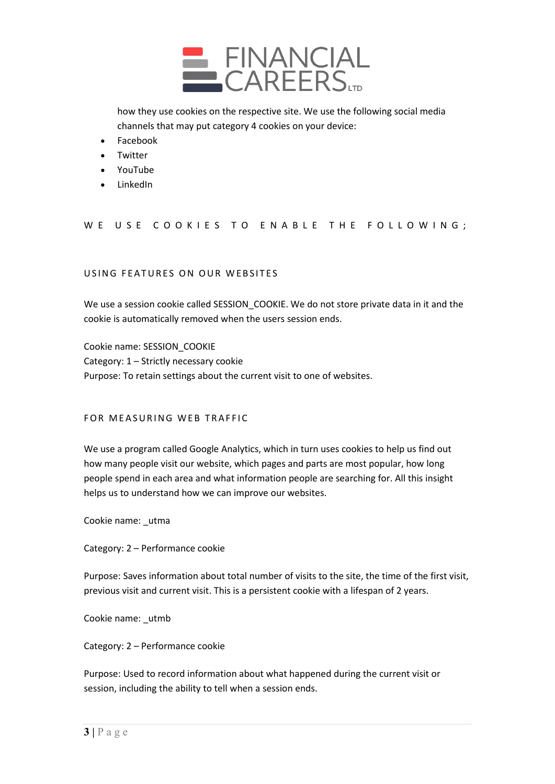

how they use cookies on the respective site. We use the following social media channels that may put category 4 cookies on your device:

- Facebook
- Twitter
- YouTube
- LinkedIn

### WE USE COOKIES TO ENABLE THE FOLLOWING;

### USING FEATURES ON OUR WEBSITES

We use a session cookie called SESSION COOKIE. We do not store private data in it and the cookie is automatically removed when the users session ends.

Cookie name: SESSION\_COOKIE Category: 1 – Strictly necessary cookie Purpose: To retain settings about the current visit to one of websites.

#### FOR MEASURING WEB TRAFFIC

We use a program called Google Analytics, which in turn uses cookies to help us find out how many people visit our website, which pages and parts are most popular, how long people spend in each area and what information people are searching for. All this insight helps us to understand how we can improve our websites.

Cookie name: \_utma

Category: 2 – Performance cookie

Purpose: Saves information about total number of visits to the site, the time of the first visit, previous visit and current visit. This is a persistent cookie with a lifespan of 2 years.

Cookie name: \_utmb

Category: 2 – Performance cookie

Purpose: Used to record information about what happened during the current visit or session, including the ability to tell when a session ends.